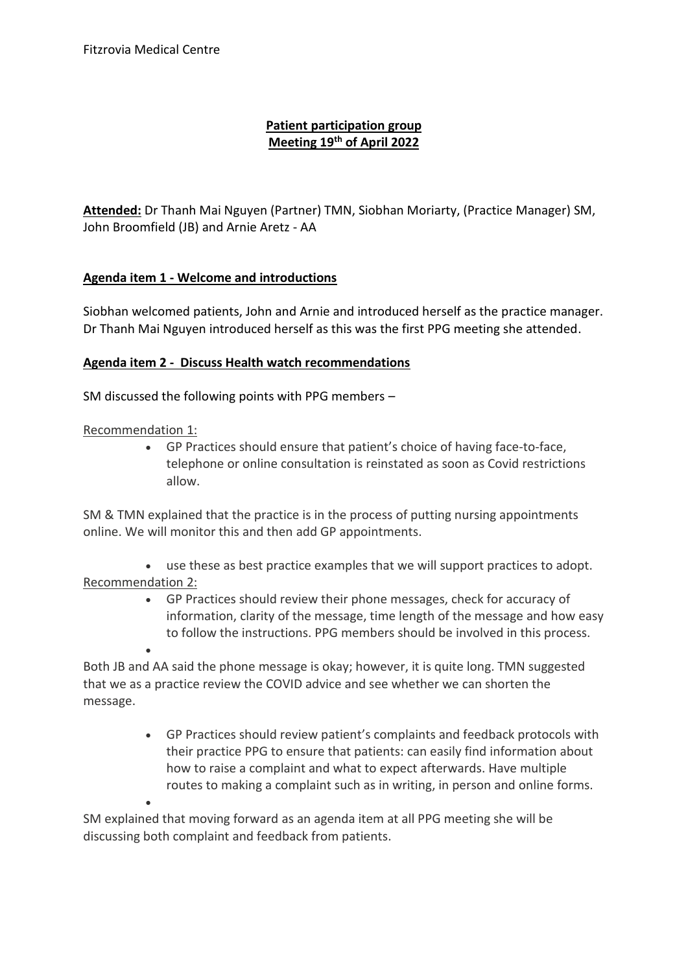## **Patient participation group Meeting 19th of April 2022**

**Attended:** Dr Thanh Mai Nguyen (Partner) TMN, Siobhan Moriarty, (Practice Manager) SM, John Broomfield (JB) and Arnie Aretz - AA

### **Agenda item 1 - Welcome and introductions**

Siobhan welcomed patients, John and Arnie and introduced herself as the practice manager. Dr Thanh Mai Nguyen introduced herself as this was the first PPG meeting she attended.

#### **Agenda item 2 - Discuss Health watch recommendations**

SM discussed the following points with PPG members –

#### Recommendation 1:

 $\bullet$ 

 GP Practices should ensure that patient's choice of having face-to-face, telephone or online consultation is reinstated as soon as Covid restrictions allow.

SM & TMN explained that the practice is in the process of putting nursing appointments online. We will monitor this and then add GP appointments.

 use these as best practice examples that we will support practices to adopt. Recommendation 2:

> GP Practices should review their phone messages, check for accuracy of information, clarity of the message, time length of the message and how easy to follow the instructions. PPG members should be involved in this process.

 $\bullet$ Both JB and AA said the phone message is okay; however, it is quite long. TMN suggested that we as a practice review the COVID advice and see whether we can shorten the message.

> GP Practices should review patient's complaints and feedback protocols with their practice PPG to ensure that patients: can easily find information about how to raise a complaint and what to expect afterwards. Have multiple routes to making a complaint such as in writing, in person and online forms.

SM explained that moving forward as an agenda item at all PPG meeting she will be discussing both complaint and feedback from patients.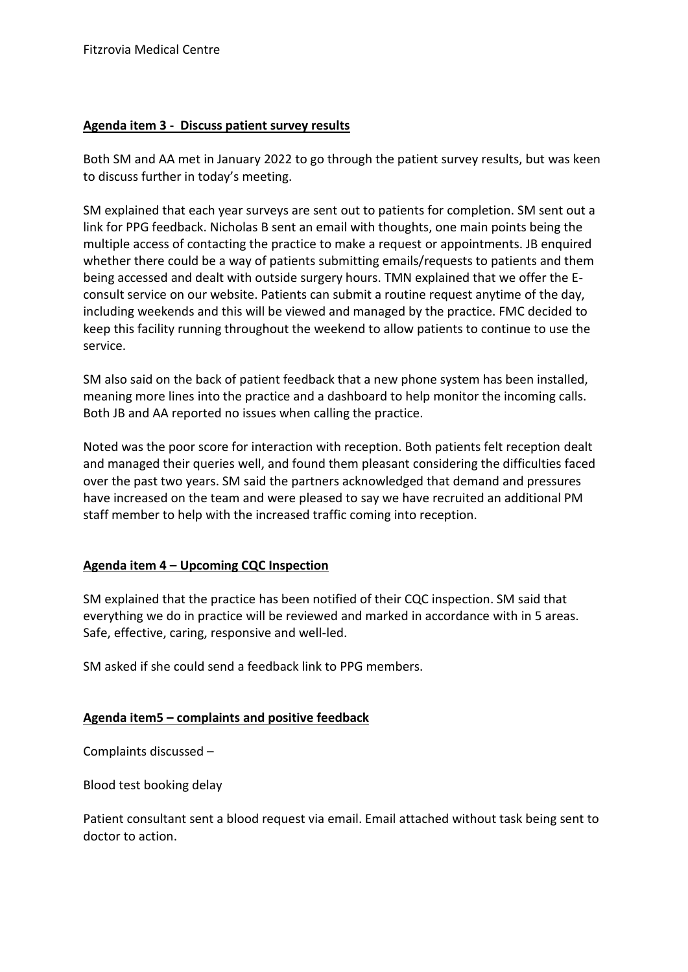#### **Agenda item 3 - Discuss patient survey results**

Both SM and AA met in January 2022 to go through the patient survey results, but was keen to discuss further in today's meeting.

SM explained that each year surveys are sent out to patients for completion. SM sent out a link for PPG feedback. Nicholas B sent an email with thoughts, one main points being the multiple access of contacting the practice to make a request or appointments. JB enquired whether there could be a way of patients submitting emails/requests to patients and them being accessed and dealt with outside surgery hours. TMN explained that we offer the Econsult service on our website. Patients can submit a routine request anytime of the day, including weekends and this will be viewed and managed by the practice. FMC decided to keep this facility running throughout the weekend to allow patients to continue to use the service.

SM also said on the back of patient feedback that a new phone system has been installed, meaning more lines into the practice and a dashboard to help monitor the incoming calls. Both JB and AA reported no issues when calling the practice.

Noted was the poor score for interaction with reception. Both patients felt reception dealt and managed their queries well, and found them pleasant considering the difficulties faced over the past two years. SM said the partners acknowledged that demand and pressures have increased on the team and were pleased to say we have recruited an additional PM staff member to help with the increased traffic coming into reception.

#### **Agenda item 4 – Upcoming CQC Inspection**

SM explained that the practice has been notified of their CQC inspection. SM said that everything we do in practice will be reviewed and marked in accordance with in 5 areas. Safe, effective, caring, responsive and well-led.

SM asked if she could send a feedback link to PPG members.

#### **Agenda item5 – complaints and positive feedback**

Complaints discussed –

Blood test booking delay

Patient consultant sent a blood request via email. Email attached without task being sent to doctor to action.